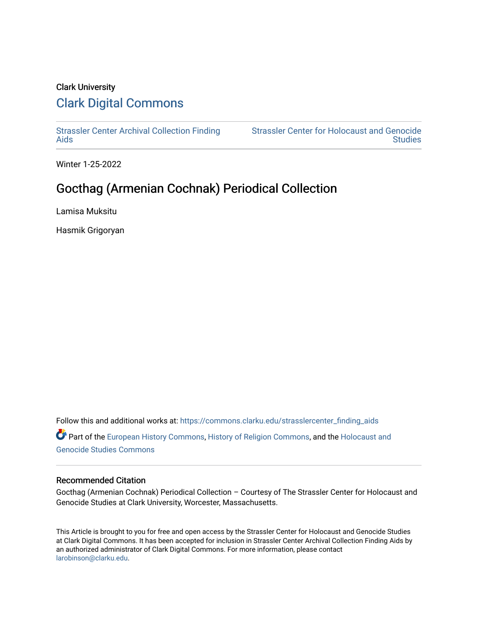## Clark University [Clark Digital Commons](https://commons.clarku.edu/)

[Strassler Center Archival Collection Finding](https://commons.clarku.edu/strasslercenter_finding_aids) [Aids](https://commons.clarku.edu/strasslercenter_finding_aids) 

[Strassler Center for Holocaust and Genocide](https://commons.clarku.edu/strasslercenter)  **Studies** 

Winter 1-25-2022

# Gocthag (Armenian Cochnak) Periodical Collection

Lamisa Muksitu

Hasmik Grigoryan

Follow this and additional works at: [https://commons.clarku.edu/strasslercenter\\_finding\\_aids](https://commons.clarku.edu/strasslercenter_finding_aids?utm_source=commons.clarku.edu%2Fstrasslercenter_finding_aids%2F3&utm_medium=PDF&utm_campaign=PDFCoverPages) Part of the [European History Commons](https://network.bepress.com/hgg/discipline/492?utm_source=commons.clarku.edu%2Fstrasslercenter_finding_aids%2F3&utm_medium=PDF&utm_campaign=PDFCoverPages), [History of Religion Commons,](https://network.bepress.com/hgg/discipline/499?utm_source=commons.clarku.edu%2Fstrasslercenter_finding_aids%2F3&utm_medium=PDF&utm_campaign=PDFCoverPages) and the [Holocaust and](https://network.bepress.com/hgg/discipline/1413?utm_source=commons.clarku.edu%2Fstrasslercenter_finding_aids%2F3&utm_medium=PDF&utm_campaign=PDFCoverPages) [Genocide Studies Commons](https://network.bepress.com/hgg/discipline/1413?utm_source=commons.clarku.edu%2Fstrasslercenter_finding_aids%2F3&utm_medium=PDF&utm_campaign=PDFCoverPages)

#### Recommended Citation

Gocthag (Armenian Cochnak) Periodical Collection – Courtesy of The Strassler Center for Holocaust and Genocide Studies at Clark University, Worcester, Massachusetts.

This Article is brought to you for free and open access by the Strassler Center for Holocaust and Genocide Studies at Clark Digital Commons. It has been accepted for inclusion in Strassler Center Archival Collection Finding Aids by an authorized administrator of Clark Digital Commons. For more information, please contact [larobinson@clarku.edu.](mailto:larobinson@clarku.edu)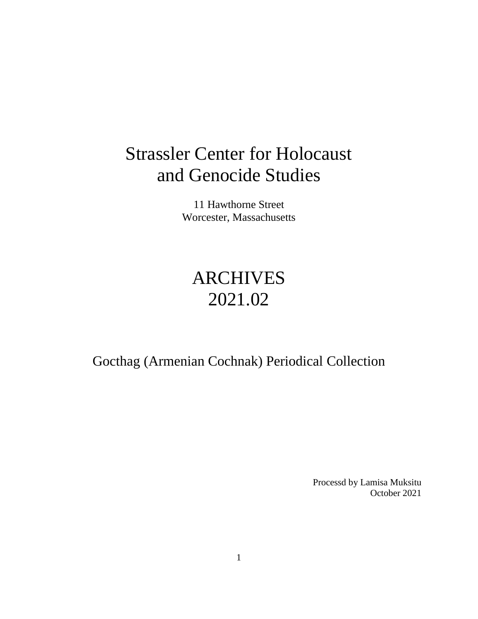# Strassler Center for Holocaust and Genocide Studies

11 Hawthorne Street Worcester, Massachusetts

# ARCHIVES 2021.02

Gocthag (Armenian Cochnak) Periodical Collection

Processd by Lamisa Muksitu October 2021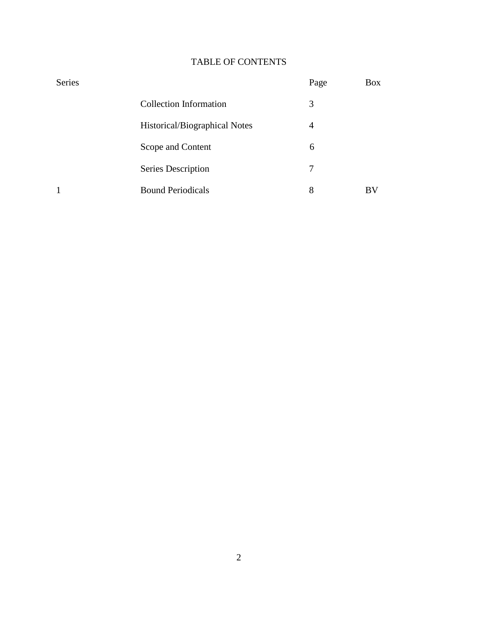### TABLE OF CONTENTS

| <b>Series</b> |                               | Page           | Box |
|---------------|-------------------------------|----------------|-----|
|               | <b>Collection Information</b> | 3              |     |
|               | Historical/Biographical Notes | $\overline{4}$ |     |
|               | Scope and Content             | 6              |     |
|               | Series Description            | 7              |     |
| 1             | <b>Bound Periodicals</b>      | 8              | BV  |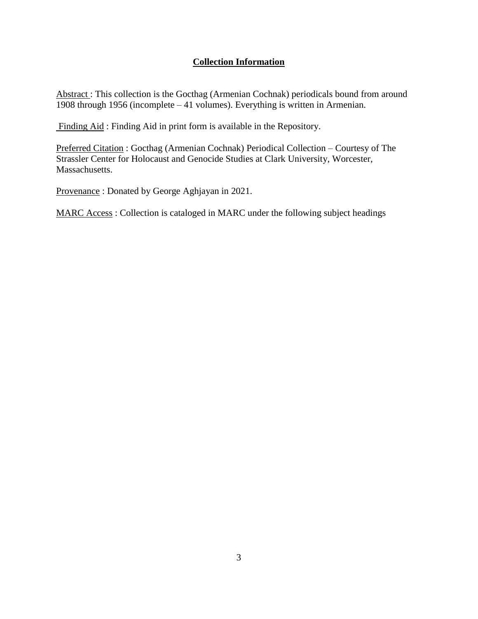#### **Collection Information**

Abstract : This collection is the Gocthag (Armenian Cochnak) periodicals bound from around 1908 through 1956 (incomplete – 41 volumes). Everything is written in Armenian.

Finding Aid : Finding Aid in print form is available in the Repository.

Preferred Citation : Gocthag (Armenian Cochnak) Periodical Collection – Courtesy of The Strassler Center for Holocaust and Genocide Studies at Clark University, Worcester, Massachusetts.

Provenance : Donated by George Aghjayan in 2021.

MARC Access : Collection is cataloged in MARC under the following subject headings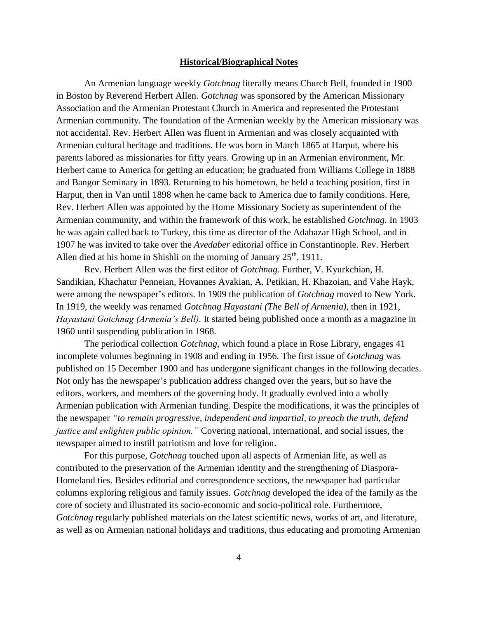#### **Historical/Biographical Notes**

An Armenian language weekly *Gotchnag* literally means Church Bell, founded in 1900 in Boston by Reverend Herbert Allen. *Gotchnag* was sponsored by the American Missionary Association and the Armenian Protestant Church in America and represented the Protestant Armenian community. The foundation of the Armenian weekly by the American missionary was not accidental. Rev. Herbert Allen was fluent in Armenian and was closely acquainted with Armenian cultural heritage and traditions. He was born in March 1865 at Harput, where his parents labored as missionaries for fifty years. Growing up in an Armenian environment, Mr. Herbert came to America for getting an education; he graduated from Williams College in 1888 and Bangor Seminary in 1893. Returning to his hometown, he held a teaching position, first in Harput, then in Van until 1898 when he came back to America due to family conditions. Here, Rev. Herbert Allen was appointed by the Home Missionary Society as superintendent of the Armenian community, and within the framework of this work, he established *Gotchnag.* In 1903 he was again called back to Turkey, this time as director of the Adabazar High School, and in 1907 he was invited to take over the *Avedaber* editorial office in Constantinople. Rev. Herbert Allen died at his home in Shishli on the morning of January 25<sup>th</sup>, 1911.

Rev. Herbert Allen was the first editor of *Gotchnag*. Further, V. Kyurkchian, H. Sandikian, Khachatur Penneian, Hovannes Avakian, A. Petikian, H. Khazoian, and Vahe Hayk, were among the newspaper's editors. In 1909 the publication of *Gotchnag* moved to New York. In 1919, the weekly was renamed *Gotchnag Hayastani (The Bell of Armenia)*, then in 1921, *Hayastani Gotchnag (Armenia's Bell).* It started being published once a month as a magazine in 1960 until suspending publication in 1968.

The periodical collection *Gotchnag,* which found a place in Rose Library, engages 41 incomplete volumes beginning in 1908 and ending in 1956. The first issue of *Gotchnag* was published on 15 December 1900 and has undergone significant changes in the following decades. Not only has the newspaper's publication address changed over the years, but so have the editors, workers, and members of the governing body. It gradually evolved into a wholly Armenian publication with Armenian funding. Despite the modifications, it was the principles of the newspaper *"to remain progressive, independent and impartial, to preach the truth, defend justice and enlighten public opinion."* Covering national, international, and social issues, the newspaper aimed to instill patriotism and love for religion.

For this purpose, *Gotchnag* touched upon all aspects of Armenian life, as well as contributed to the preservation of the Armenian identity and the strengthening of Diaspora-Homeland ties. Besides editorial and correspondence sections, the newspaper had particular columns exploring religious and family issues. *Gotchnag* developed the idea of the family as the core of society and illustrated its socio-economic and socio-political role. Furthermore, *Gotchnag* regularly published materials on the latest scientific news, works of art, and literature, as well as on Armenian national holidays and traditions, thus educating and promoting Armenian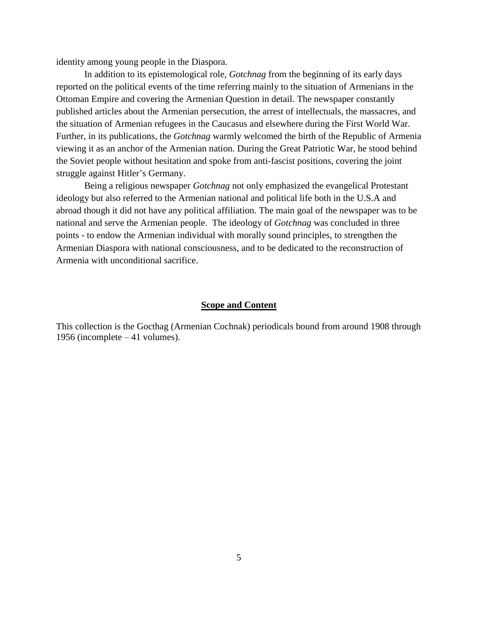identity among young people in the Diaspora.

In addition to its epistemological role, *Gotchnag* from the beginning of its early days reported on the political events of the time referring mainly to the situation of Armenians in the Ottoman Empire and covering the Armenian Question in detail. The newspaper constantly published articles about the Armenian persecution, the arrest of intellectuals, the massacres, and the situation of Armenian refugees in the Caucasus and elsewhere during the First World War. Further, in its publications, the *Gotchnag* warmly welcomed the birth of the Republic of Armenia viewing it as an anchor of the Armenian nation. During the Great Patriotic War, he stood behind the Soviet people without hesitation and spoke from anti-fascist positions, covering the joint struggle against Hitler's Germany.

Being a religious newspaper *Gotchnag* not only emphasized the evangelical Protestant ideology but also referred to the Armenian national and political life both in the U.S.A and abroad though it did not have any political affiliation. The main goal of the newspaper was to be national and serve the Armenian people. The ideology of *Gotchnag* was concluded in three points - to endow the Armenian individual with morally sound principles, to strengthen the Armenian Diaspora with national consciousness, and to be dedicated to the reconstruction of Armenia with unconditional sacrifice.

#### **Scope and Content**

This collection is the Gocthag (Armenian Cochnak) periodicals bound from around 1908 through 1956 (incomplete – 41 volumes).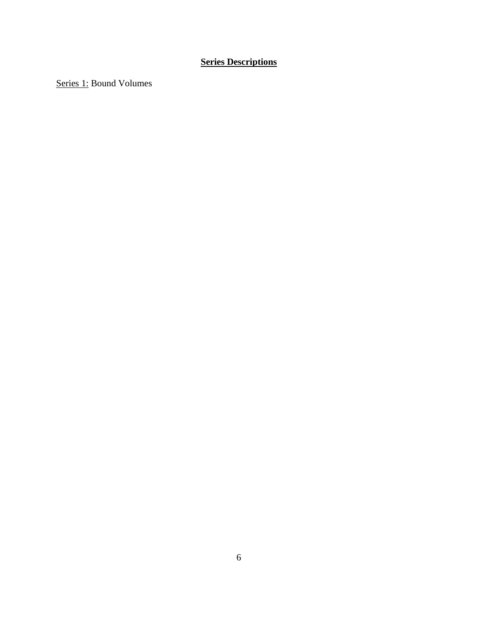## **Series Descriptions**

Series 1: Bound Volumes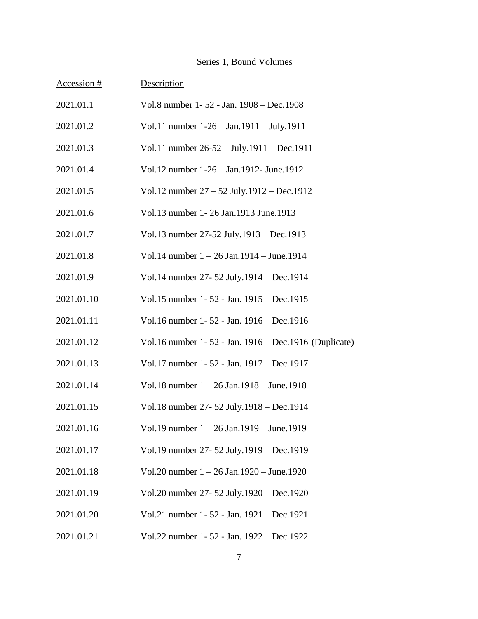### Series 1, Bound Volumes

| Accession # | Description                                           |
|-------------|-------------------------------------------------------|
| 2021.01.1   | Vol.8 number 1-52 - Jan. 1908 - Dec.1908              |
| 2021.01.2   | Vol.11 number 1-26 - Jan.1911 - July.1911             |
| 2021.01.3   | Vol.11 number 26-52 - July.1911 - Dec.1911            |
| 2021.01.4   | Vol.12 number 1-26 - Jan.1912- June.1912              |
| 2021.01.5   | Vol.12 number 27 - 52 July.1912 - Dec.1912            |
| 2021.01.6   | Vol.13 number 1-26 Jan.1913 June.1913                 |
| 2021.01.7   | Vol.13 number 27-52 July.1913 – Dec.1913              |
| 2021.01.8   | Vol.14 number $1 - 26$ Jan.1914 – June.1914           |
| 2021.01.9   | Vol.14 number 27-52 July.1914 - Dec.1914              |
| 2021.01.10  | Vol.15 number 1-52 - Jan. 1915 - Dec.1915             |
| 2021.01.11  | Vol.16 number 1-52 - Jan. 1916 - Dec.1916             |
| 2021.01.12  | Vol.16 number 1-52 - Jan. 1916 - Dec.1916 (Duplicate) |
| 2021.01.13  | Vol.17 number 1-52 - Jan. 1917 - Dec.1917             |
| 2021.01.14  | Vol.18 number $1 - 26$ Jan.1918 - June.1918           |
| 2021.01.15  | Vol.18 number 27-52 July.1918 - Dec.1914              |
| 2021.01.16  | Vol.19 number $1 - 26$ Jan.1919 – June.1919           |
| 2021.01.17  | Vol.19 number 27-52 July.1919 - Dec.1919              |
| 2021.01.18  | Vol.20 number $1 - 26$ Jan.1920 - June.1920           |
| 2021.01.19  | Vol.20 number 27-52 July.1920 - Dec.1920              |
| 2021.01.20  | Vol.21 number 1-52 - Jan. 1921 - Dec.1921             |
|             |                                                       |

2021.01.21 Vol.22 number 1- 52 - Jan. 1922 – Dec.1922